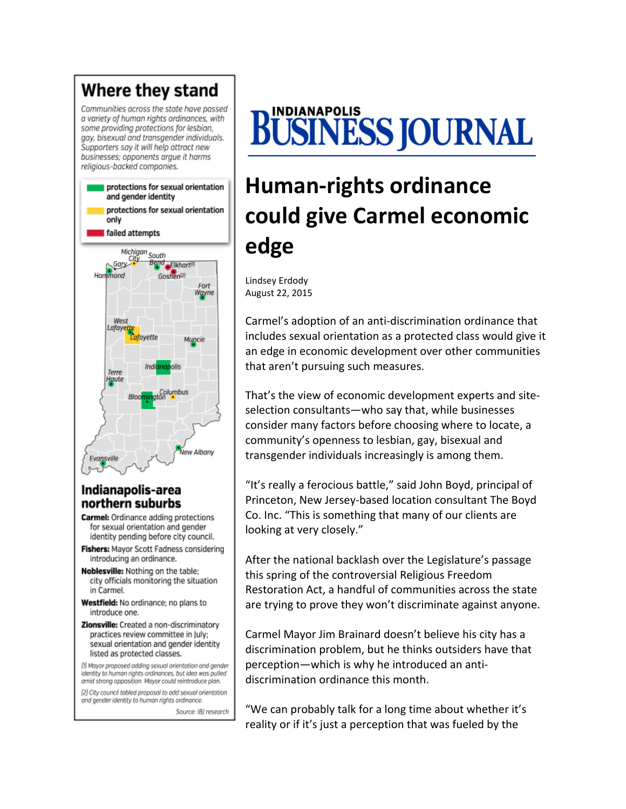#### Where they stand Communities across the state have passed a variety of human rights ordinances, with some providing protections for lesbian, gay, bisexual and transgender individuals. Supporters say it will help attract new businesses; opponents argue it harms religious-backed companies. protections for sexual orientation and gender identity protections for sexual orientation only failed attempts Michigan South City\_ Bena<sub>ce</sub>Elkhart<sup>in</sup> Gary Hammond Goshen<sup>[2]</sup> Fort Wgyne West Lafayet favette Muncie Terre **Houte** w Albany Evansville

## Indianapolis-area northern suburbs

- **Carmel:** Ordinance adding protections for sexual orientation and gender identity pending before city council.
- Fishers: Mayor Scott Fadness considering introducing an ordinance.
- Noblesville: Nothing on the table; city officials monitoring the situation in Carmel.
- Westfield: No ordinance; no plans to introduce one.
- Zionsville: Created a non-discriminatory practices review committee in July: sexual orientation and gender identity listed as protected classes.

[1] Mayor proposed adding sexual orientation and gender identity to human rights ordinances, but idea was pulled amid strong opposition. Mayor could reintroduce plan.

[2] City council tabled proposal to add sexual orientation and gender identity to human rights ordinance.

Source: IBJ research

# BUSINESS JOURNAL

## **Human‐rights ordinance could give Carmel economic edge**

Lindsey Erdody August 22, 2015

Carmel's adoption of an anti‐discrimination ordinance that includes sexual orientation as a protected class would give it an edge in economic development over other communities that aren't pursuing such measures.

That's the view of economic development experts and site‐ selection consultants—who say that, while businesses consider many factors before choosing where to locate, a community's openness to lesbian, gay, bisexual and transgender individuals increasingly is among them.

"It's really a ferocious battle," said John Boyd, principal of Princeton, New Jersey‐based location consultant The Boyd Co. Inc. "This is something that many of our clients are looking at very closely."

After the national backlash over the Legislature's passage this spring of the controversial Religious Freedom Restoration Act, a handful of communities across the state are trying to prove they won't discriminate against anyone.

Carmel Mayor Jim Brainard doesn't believe his city has a discrimination problem, but he thinks outsiders have that perception—which is why he introduced an anti‐ discrimination ordinance this month.

"We can probably talk for a long time about whether it's reality or if it's just a perception that was fueled by the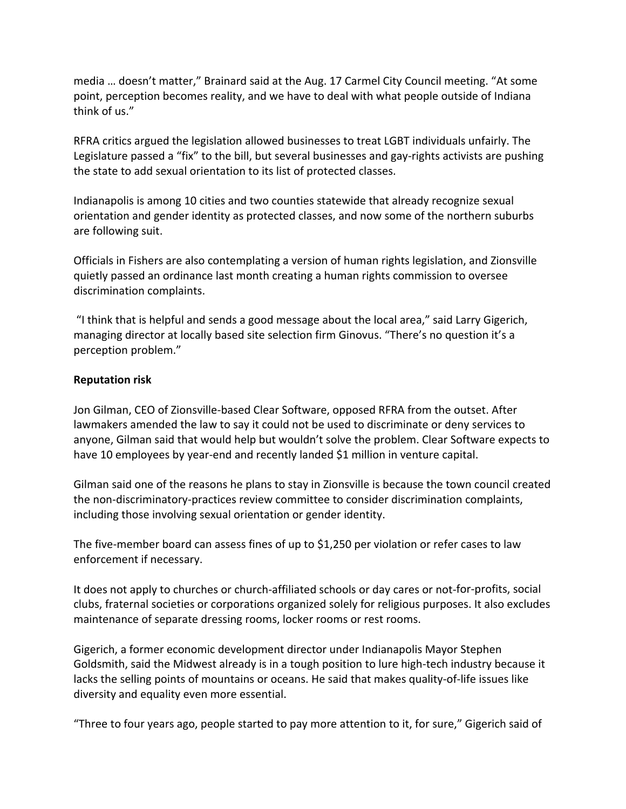media … doesn't matter," Brainard said at the Aug. 17 Carmel City Council meeting. "At some point, perception becomes reality, and we have to deal with what people outside of Indiana think of us."

RFRA critics argued the legislation allowed businesses to treat LGBT individuals unfairly. The Legislature passed a "fix" to the bill, but several businesses and gay-rights activists are pushing the state to add sexual orientation to its list of protected classes.

Indianapolis is among 10 cities and two counties statewide that already recognize sexual orientation and gender identity as protected classes, and now some of the northern suburbs are following suit.

Officials in Fishers are also contemplating a version of human rights legislation, and Zionsville quietly passed an ordinance last month creating a human rights commission to oversee discrimination complaints.

"I think that is helpful and sends a good message about the local area," said Larry Gigerich, managing director at locally based site selection firm Ginovus. "There's no question it's a perception problem."

### **Reputation risk**

Jon Gilman, CEO of Zionsville‐based Clear Software, opposed RFRA from the outset. After lawmakers amended the law to say it could not be used to discriminate or deny services to anyone, Gilman said that would help but wouldn't solve the problem. Clear Software expects to have 10 employees by year-end and recently landed \$1 million in venture capital.

Gilman said one of the reasons he plans to stay in Zionsville is because the town council created the non‐discriminatory‐practices review committee to consider discrimination complaints, including those involving sexual orientation or gender identity.

The five-member board can assess fines of up to \$1,250 per violation or refer cases to law enforcement if necessary.

It does not apply to churches or church-affiliated schools or day cares or not-for-profits, social clubs, fraternal societies or corporations organized solely for religious purposes. It also excludes maintenance of separate dressing rooms, locker rooms or rest rooms.

Gigerich, a former economic development director under Indianapolis Mayor Stephen Goldsmith, said the Midwest already is in a tough position to lure high‐tech industry because it lacks the selling points of mountains or oceans. He said that makes quality‐of‐life issues like diversity and equality even more essential.

"Three to four years ago, people started to pay more attention to it, for sure," Gigerich said of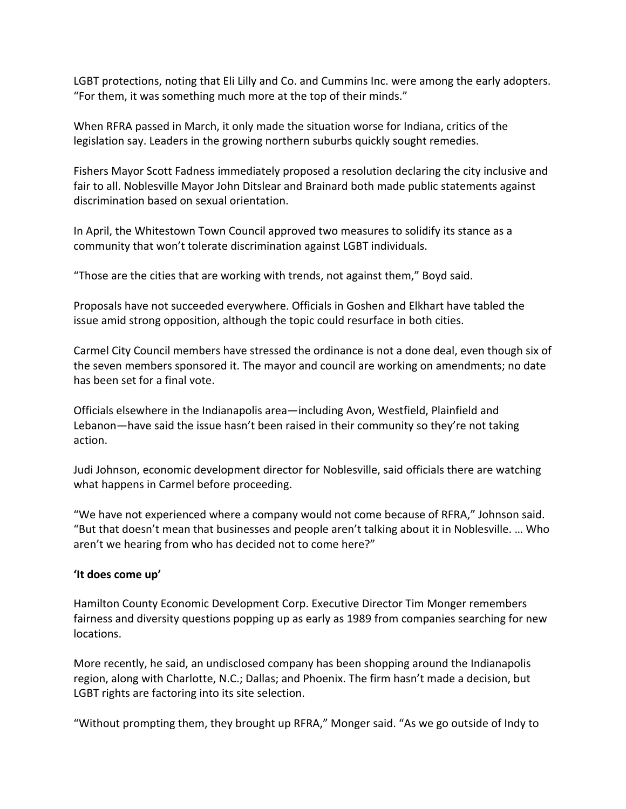LGBT protections, noting that Eli Lilly and Co. and Cummins Inc. were among the early adopters. "For them, it was something much more at the top of their minds."

When RFRA passed in March, it only made the situation worse for Indiana, critics of the legislation say. Leaders in the growing northern suburbs quickly sought remedies.

Fishers Mayor Scott Fadness immediately proposed a resolution declaring the city inclusive and fair to all. Noblesville Mayor John Ditslear and Brainard both made public statements against discrimination based on sexual orientation.

In April, the Whitestown Town Council approved two measures to solidify its stance as a community that won't tolerate discrimination against LGBT individuals.

"Those are the cities that are working with trends, not against them," Boyd said.

Proposals have not succeeded everywhere. Officials in Goshen and Elkhart have tabled the issue amid strong opposition, although the topic could resurface in both cities.

Carmel City Council members have stressed the ordinance is not a done deal, even though six of the seven members sponsored it. The mayor and council are working on amendments; no date has been set for a final vote.

Officials elsewhere in the Indianapolis area—including Avon, Westfield, Plainfield and Lebanon—have said the issue hasn't been raised in their community so they're not taking action.

Judi Johnson, economic development director for Noblesville, said officials there are watching what happens in Carmel before proceeding.

"We have not experienced where a company would not come because of RFRA," Johnson said. "But that doesn't mean that businesses and people aren't talking about it in Noblesville. … Who aren't we hearing from who has decided not to come here?"

## **'It does come up'**

Hamilton County Economic Development Corp. Executive Director Tim Monger remembers fairness and diversity questions popping up as early as 1989 from companies searching for new locations.

More recently, he said, an undisclosed company has been shopping around the Indianapolis region, along with Charlotte, N.C.; Dallas; and Phoenix. The firm hasn't made a decision, but LGBT rights are factoring into its site selection.

"Without prompting them, they brought up RFRA," Monger said. "As we go outside of Indy to